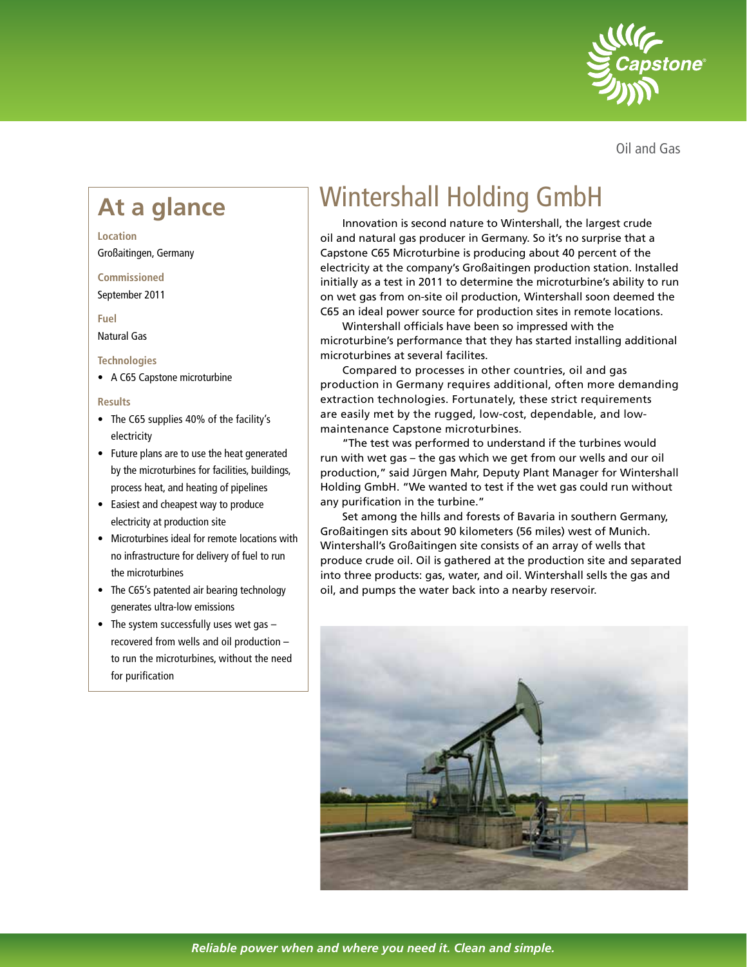

Oil and Gas

#### **Location**

Großaitingen, Germany

#### **Commissioned**

September 2011

## **Fuel**

Natural Gas

# **Technologies**

• A C65 Capstone microturbine

### **Results**

- The C65 supplies 40% of the facility's electricity
- Future plans are to use the heat generated by the microturbines for facilities, buildings, process heat, and heating of pipelines
- Easiest and cheapest way to produce electricity at production site
- Microturbines ideal for remote locations with no infrastructure for delivery of fuel to run the microturbines
- The C65's patented air bearing technology generates ultra-low emissions
- The system successfully uses wet gas recovered from wells and oil production – to run the microturbines, without the need for purification

# Wintershall Holding GmbH **At a glance**

Innovation is second nature to Wintershall, the largest crude oil and natural gas producer in Germany. So it's no surprise that a Capstone C65 Microturbine is producing about 40 percent of the electricity at the company's Großaitingen production station. Installed initially as a test in 2011 to determine the microturbine's ability to run on wet gas from on-site oil production, Wintershall soon deemed the C65 an ideal power source for production sites in remote locations.

Wintershall officials have been so impressed with the microturbine's performance that they has started installing additional microturbines at several facilites.

Compared to processes in other countries, oil and gas production in Germany requires additional, often more demanding extraction technologies. Fortunately, these strict requirements are easily met by the rugged, low-cost, dependable, and lowmaintenance Capstone microturbines.

"The test was performed to understand if the turbines would run with wet gas – the gas which we get from our wells and our oil production," said Jürgen Mahr, Deputy Plant Manager for Wintershall Holding GmbH. "We wanted to test if the wet gas could run without any purification in the turbine."

Set among the hills and forests of Bavaria in southern Germany, Großaitingen sits about 90 kilometers (56 miles) west of Munich. Wintershall's Großaitingen site consists of an array of wells that produce crude oil. Oil is gathered at the production site and separated into three products: gas, water, and oil. Wintershall sells the gas and oil, and pumps the water back into a nearby reservoir.